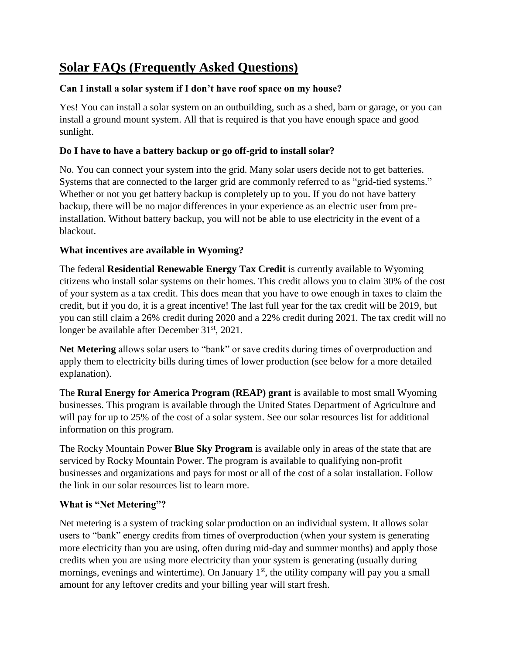# **Solar FAQs (Frequently Asked Questions)**

# **Can I install a solar system if I don't have roof space on my house?**

Yes! You can install a solar system on an outbuilding, such as a shed, barn or garage, or you can install a ground mount system. All that is required is that you have enough space and good sunlight.

# **Do I have to have a battery backup or go off-grid to install solar?**

No. You can connect your system into the grid. Many solar users decide not to get batteries. Systems that are connected to the larger grid are commonly referred to as "grid-tied systems." Whether or not you get battery backup is completely up to you. If you do not have battery backup, there will be no major differences in your experience as an electric user from preinstallation. Without battery backup, you will not be able to use electricity in the event of a blackout.

# **What incentives are available in Wyoming?**

The federal **Residential Renewable Energy Tax Credit** is currently available to Wyoming citizens who install solar systems on their homes. This credit allows you to claim 30% of the cost of your system as a tax credit. This does mean that you have to owe enough in taxes to claim the credit, but if you do, it is a great incentive! The last full year for the tax credit will be 2019, but you can still claim a 26% credit during 2020 and a 22% credit during 2021. The tax credit will no longer be available after December 31<sup>st</sup>, 2021.

**Net Metering** allows solar users to "bank" or save credits during times of overproduction and apply them to electricity bills during times of lower production (see below for a more detailed explanation).

The **Rural Energy for America Program (REAP) grant** is available to most small Wyoming businesses. This program is available through the United States Department of Agriculture and will pay for up to 25% of the cost of a solar system. See our solar resources list for additional information on this program.

The Rocky Mountain Power **Blue Sky Program** is available only in areas of the state that are serviced by Rocky Mountain Power. The program is available to qualifying non-profit businesses and organizations and pays for most or all of the cost of a solar installation. Follow the link in our solar resources list to learn more.

# **What is "Net Metering"?**

Net metering is a system of tracking solar production on an individual system. It allows solar users to "bank" energy credits from times of overproduction (when your system is generating more electricity than you are using, often during mid-day and summer months) and apply those credits when you are using more electricity than your system is generating (usually during mornings, evenings and wintertime). On January  $1<sup>st</sup>$ , the utility company will pay you a small amount for any leftover credits and your billing year will start fresh.